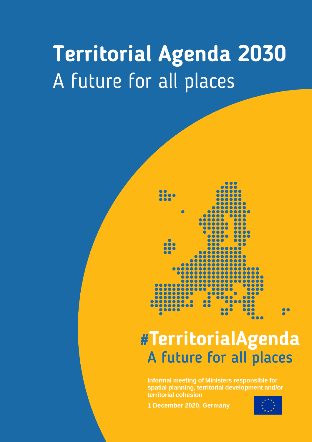# **Territorial Agenda 2030** A future for all places



## #TerritorialAgenda A future for all places

**Informal meeting of Ministers responsible for spatial planning, territorial development and/or territorial cohesion**

**1 December 2020, Germany**

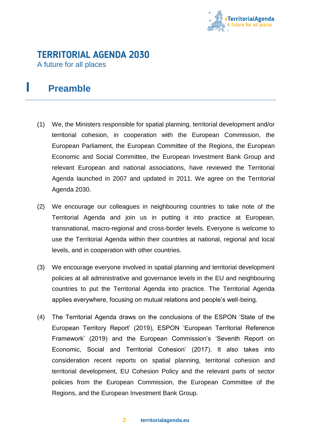

## **TERRITORIAL AGENDA 2030**

A future for all places

## **I Preamble**

- (1) We, the Ministers responsible for spatial planning, territorial development and/or territorial cohesion, in cooperation with the European Commission, the European Parliament, the European Committee of the Regions, the European Economic and Social Committee, the European Investment Bank Group and relevant European and national associations, have reviewed the Territorial Agenda launched in 2007 and updated in 2011. We agree on the Territorial Agenda 2030.
- (2) We encourage our colleagues in neighbouring countries to take note of the Territorial Agenda and join us in putting it into practice at European, transnational, macro-regional and cross-border levels. Everyone is welcome to use the Territorial Agenda within their countries at national, regional and local levels, and in cooperation with other countries.
- (3) We encourage everyone involved in spatial planning and territorial development policies at all administrative and governance levels in the EU and neighbouring countries to put the Territorial Agenda into practice. The Territorial Agenda applies everywhere, focusing on mutual relations and people's well-being.
- (4) The Territorial Agenda draws on the conclusions of the ESPON 'State of the European Territory Report' (2019), ESPON 'European Territorial Reference Framework' (2019) and the European Commission's 'Seventh Report on Economic, Social and Territorial Cohesion' (2017). It also takes into consideration recent reports on spatial planning, territorial cohesion and territorial development, EU Cohesion Policy and the relevant parts of sector policies from the European Commission, the European Committee of the Regions, and the European Investment Bank Group.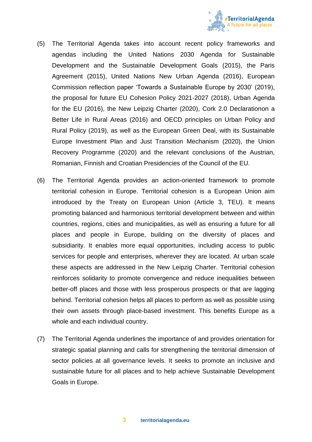

- (5) The Territorial Agenda takes into account recent policy frameworks and agendas including the United Nations 2030 Agenda for Sustainable Development and the Sustainable Development Goals (2015), the Paris Agreement (2015), United Nations New Urban Agenda (2016), European Commission reflection paper 'Towards a Sustainable Europe by 2030' (2019), the proposal for future EU Cohesion Policy 2021-2027 (2018), Urban Agenda for the EU (2016), the New Leipzig Charter (2020), Cork 2.0 Declarationon a Better Life in Rural Areas (2016) and OECD principles on Urban Policy and Rural Policy (2019), as well as the European Green Deal, with its Sustainable Europe Investment Plan and Just Transition Mechanism (2020), the Union Recovery Programme (2020) and the relevant conclusions of the Austrian, Romanian, Finnish and Croatian Presidencies of the Council of the EU.
- (6) The Territorial Agenda provides an action-oriented framework to promote territorial cohesion in Europe. Territorial cohesion is a European Union aim introduced by the Treaty on European Union (Article 3, TEU). It means promoting balanced and harmonious territorial development between and within countries, regions, cities and municipalities, as well as ensuring a future for all places and people in Europe, building on the diversity of places and subsidiarity. It enables more equal opportunities, including access to public services for people and enterprises, wherever they are located. At urban scale these aspects are addressed in the New Leipzig Charter. Territorial cohesion reinforces solidarity to promote convergence and reduce inequalities between better-off places and those with less prosperous prospects or that are lagging behind. Territorial cohesion helps all places to perform as well as possible using their own assets through place-based investment. This benefits Europe as a whole and each individual country.
- (7) The Territorial Agenda underlines the importance of and provides orientation for strategic spatial planning and calls for strengthening the territorial dimension of sector policies at all governance levels. It seeks to promote an inclusive and sustainable future for all places and to help achieve Sustainable Development Goals in Europe.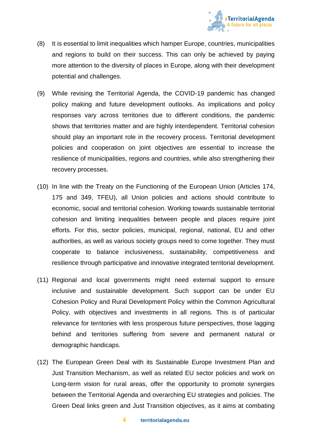

- (8) It is essential to limit inequalities which hamper Europe, countries, municipalities and regions to build on their success. This can only be achieved by paying more attention to the diversity of places in Europe, along with their development potential and challenges.
- (9) While revising the Territorial Agenda, the COVID-19 pandemic has changed policy making and future development outlooks. As implications and policy responses vary across territories due to different conditions, the pandemic shows that territories matter and are highly interdependent. Territorial cohesion should play an important role in the recovery process. Territorial development policies and cooperation on joint objectives are essential to increase the resilience of municipalities, regions and countries, while also strengthening their recovery processes.
- (10) In line with the Treaty on the Functioning of the European Union (Articles 174, 175 and 349, TFEU), all Union policies and actions should contribute to economic, social and territorial cohesion. Working towards sustainable territorial cohesion and limiting inequalities between people and places require joint efforts. For this, sector policies, municipal, regional, national, EU and other authorities, as well as various society groups need to come together. They must cooperate to balance inclusiveness, sustainability, competitiveness and resilience through participative and innovative integrated territorial development.
- (11) Regional and local governments might need external support to ensure inclusive and sustainable development. Such support can be under EU Cohesion Policy and Rural Development Policy within the Common Agricultural Policy, with objectives and investments in all regions. This is of particular relevance for territories with less prosperous future perspectives, those lagging behind and territories suffering from severe and permanent natural or demographic handicaps.
- (12) The European Green Deal with its Sustainable Europe Investment Plan and Just Transition Mechanism, as well as related EU sector policies and work on Long-term vision for rural areas, offer the opportunity to promote synergies between the Territorial Agenda and overarching EU strategies and policies. The Green Deal links green and Just Transition objectives, as it aims at combating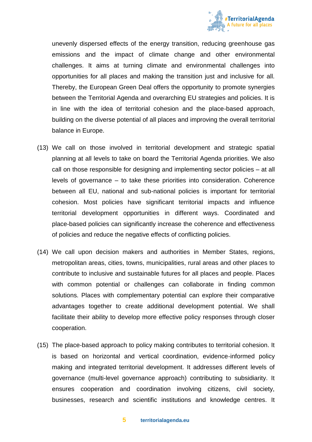

unevenly dispersed effects of the energy transition, reducing greenhouse gas emissions and the impact of climate change and other environmental challenges. It aims at turning climate and environmental challenges into opportunities for all places and making the transition just and inclusive for all. Thereby, the European Green Deal offers the opportunity to promote synergies between the Territorial Agenda and overarching EU strategies and policies. It is in line with the idea of territorial cohesion and the place-based approach, building on the diverse potential of all places and improving the overall territorial balance in Europe.

- (13) We call on those involved in territorial development and strategic spatial planning at all levels to take on board the Territorial Agenda priorities. We also call on those responsible for designing and implementing sector policies – at all levels of governance – to take these priorities into consideration. Coherence between all EU, national and sub-national policies is important for territorial cohesion. Most policies have significant territorial impacts and influence territorial development opportunities in different ways. Coordinated and place-based policies can significantly increase the coherence and effectiveness of policies and reduce the negative effects of conflicting policies.
- (14) We call upon decision makers and authorities in Member States, regions, metropolitan areas, cities, towns, municipalities, rural areas and other places to contribute to inclusive and sustainable futures for all places and people. Places with common potential or challenges can collaborate in finding common solutions. Places with complementary potential can explore their comparative advantages together to create additional development potential. We shall facilitate their ability to develop more effective policy responses through closer cooperation.
- (15) The place‐based approach to policy making contributes to territorial cohesion. It is based on horizontal and vertical coordination, evidence‐informed policy making and integrated territorial development. It addresses different levels of governance (multi-level governance approach) contributing to subsidiarity. It ensures cooperation and coordination involving citizens, civil society, businesses, research and scientific institutions and knowledge centres. It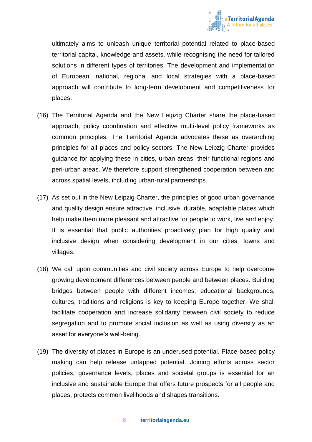

ultimately aims to unleash unique territorial potential related to place-based territorial capital, knowledge and assets, while recognising the need for tailored solutions in different types of territories. The development and implementation of European, national, regional and local strategies with a place-based approach will contribute to long-term development and competitiveness for places.

- (16) The Territorial Agenda and the New Leipzig Charter share the place-based approach, policy coordination and effective multi-level policy frameworks as common principles. The Territorial Agenda advocates these as overarching principles for all places and policy sectors. The New Leipzig Charter provides guidance for applying these in cities, urban areas, their functional regions and peri-urban areas. We therefore support strengthened cooperation between and across spatial levels, including urban-rural partnerships.
- (17) As set out in the New Leipzig Charter, the principles of good urban governance and quality design ensure attractive, inclusive, durable, adaptable places which help make them more pleasant and attractive for people to work, live and enjoy. It is essential that public authorities proactively plan for high quality and inclusive design when considering development in our cities, towns and villages.
- (18) We call upon communities and civil society across Europe to help overcome growing development differences between people and between places. Building bridges between people with different incomes, educational backgrounds, cultures, traditions and religions is key to keeping Europe together. We shall facilitate cooperation and increase solidarity between civil society to reduce segregation and to promote social inclusion as well as using diversity as an asset for everyone's well-being.
- (19) The diversity of places in Europe is an underused potential. Place-based policy making can help release untapped potential. Joining efforts across sector policies, governance levels, places and societal groups is essential for an inclusive and sustainable Europe that offers future prospects for all people and places, protects common livelihoods and shapes transitions.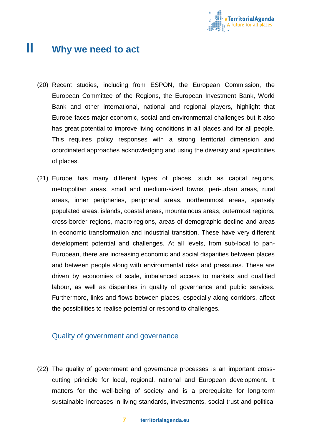

- (20) Recent studies, including from ESPON, the European Commission, the European Committee of the Regions, the European Investment Bank, World Bank and other international, national and regional players, highlight that Europe faces major economic, social and environmental challenges but it also has great potential to improve living conditions in all places and for all people. This requires policy responses with a strong territorial dimension and coordinated approaches acknowledging and using the diversity and specificities of places.
- (21) Europe has many different types of places, such as capital regions, metropolitan areas, small and medium-sized towns, peri-urban areas, rural areas, inner peripheries, peripheral areas, northernmost areas, sparsely populated areas, islands, coastal areas, mountainous areas, outermost regions, cross-border regions, macro-regions, areas of demographic decline and areas in economic transformation and industrial transition. These have very different development potential and challenges. At all levels, from sub-local to pan-European, there are increasing economic and social disparities between places and between people along with environmental risks and pressures. These are driven by economies of scale, imbalanced access to markets and qualified labour, as well as disparities in quality of governance and public services. Furthermore, links and flows between places, especially along corridors, affect the possibilities to realise potential or respond to challenges.

#### Quality of government and governance

(22) The quality of government and governance processes is an important crosscutting principle for local, regional, national and European development. It matters for the well-being of society and is a prerequisite for long-term sustainable increases in living standards, investments, social trust and political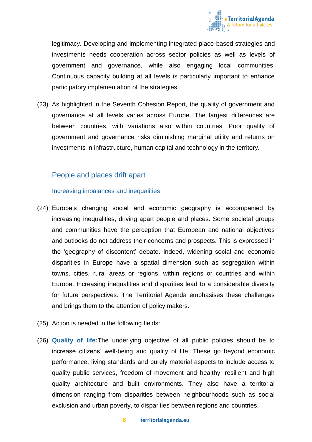

legitimacy. Developing and implementing integrated place-based strategies and investments needs cooperation across sector policies as well as levels of government and governance, while also engaging local communities. Continuous capacity building at all levels is particularly important to enhance participatory implementation of the strategies.

(23) As highlighted in the Seventh Cohesion Report, the quality of government and governance at all levels varies across Europe. The largest differences are between countries, with variations also within countries. Poor quality of government and governance risks diminishing marginal utility and returns on investments in infrastructure, human capital and technology in the territory.

#### People and places drift apart

#### Increasing imbalances and inequalities

- (24) Europe's changing social and economic geography is accompanied by increasing inequalities, driving apart people and places. Some societal groups and communities have the perception that European and national objectives and outlooks do not address their concerns and prospects. This is expressed in the 'geography of discontent' debate. Indeed, widening social and economic disparities in Europe have a spatial dimension such as segregation within towns, cities, rural areas or regions, within regions or countries and within Europe. Increasing inequalities and disparities lead to a considerable diversity for future perspectives. The Territorial Agenda emphasises these challenges and brings them to the attention of policy makers.
- (25) Action is needed in the following fields:
- (26) **Quality of life:**The underlying objective of all public policies should be to increase citizens' well-being and quality of life. These go beyond economic performance, living standards and purely material aspects to include access to quality public services, freedom of movement and healthy, resilient and high quality architecture and built environments. They also have a territorial dimension ranging from disparities between neighbourhoods such as social exclusion and urban poverty, to disparities between regions and countries.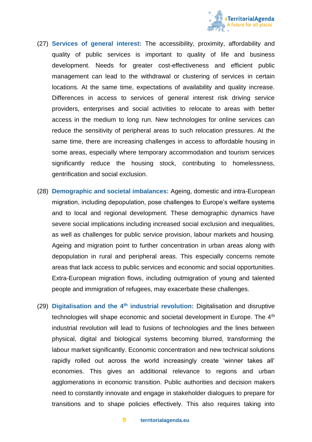

- (27) **Services of general interest:** The accessibility, proximity, affordability and quality of public services is important to quality of life and business development. Needs for greater cost-effectiveness and efficient public management can lead to the withdrawal or clustering of services in certain locations. At the same time, expectations of availability and quality increase. Differences in access to services of general interest risk driving service providers, enterprises and social activities to relocate to areas with better access in the medium to long run. New technologies for online services can reduce the sensitivity of peripheral areas to such relocation pressures. At the same time, there are increasing challenges in access to affordable housing in some areas, especially where temporary accommodation and tourism services significantly reduce the housing stock, contributing to homelessness, gentrification and social exclusion.
- (28) **Demographic and societal imbalances:** Ageing, domestic and intra-European migration, including depopulation, pose challenges to Europe's welfare systems and to local and regional development. These demographic dynamics have severe social implications including increased social exclusion and inequalities, as well as challenges for public service provision, labour markets and housing. Ageing and migration point to further concentration in urban areas along with depopulation in rural and peripheral areas. This especially concerns remote areas that lack access to public services and economic and social opportunities. Extra-European migration flows, including outmigration of young and talented people and immigration of refugees, may exacerbate these challenges.
- (29) **Digitalisation and the 4th industrial revolution:** Digitalisation and disruptive technologies will shape economic and societal development in Europe. The 4<sup>th</sup> industrial revolution will lead to fusions of technologies and the lines between physical, digital and biological systems becoming blurred, transforming the labour market significantly. Economic concentration and new technical solutions rapidly rolled out across the world increasingly create 'winner takes all' economies. This gives an additional relevance to regions and urban agglomerations in economic transition. Public authorities and decision makers need to constantly innovate and engage in stakeholder dialogues to prepare for transitions and to shape policies effectively. This also requires taking into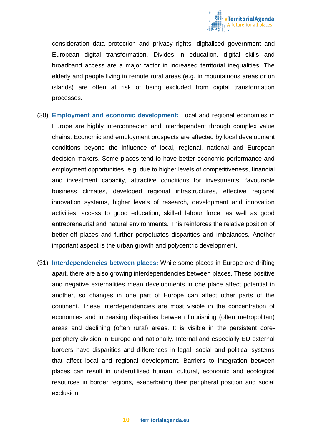

consideration data protection and privacy rights, digitalised government and European digital transformation. Divides in education, digital skills and broadband access are a major factor in increased territorial inequalities. The elderly and people living in remote rural areas (e.g. in mountainous areas or on islands) are often at risk of being excluded from digital transformation processes.

- (30) **Employment and economic development:** Local and regional economies in Europe are highly interconnected and interdependent through complex value chains. Economic and employment prospects are affected by local development conditions beyond the influence of local, regional, national and European decision makers. Some places tend to have better economic performance and employment opportunities, e.g. due to higher levels of competitiveness, financial and investment capacity, attractive conditions for investments, favourable business climates, developed regional infrastructures, effective regional innovation systems, higher levels of research, development and innovation activities, access to good education, skilled labour force, as well as good entrepreneurial and natural environments. This reinforces the relative position of better-off places and further perpetuates disparities and imbalances. Another important aspect is the urban growth and polycentric development.
- (31) **Interdependencies between places:** While some places in Europe are drifting apart, there are also growing interdependencies between places. These positive and negative externalities mean developments in one place affect potential in another, so changes in one part of Europe can affect other parts of the continent. These interdependencies are most visible in the concentration of economies and increasing disparities between flourishing (often metropolitan) areas and declining (often rural) areas. It is visible in the persistent coreperiphery division in Europe and nationally. Internal and especially EU external borders have disparities and differences in legal, social and political systems that affect local and regional development. Barriers to integration between places can result in underutilised human, cultural, economic and ecological resources in border regions, exacerbating their peripheral position and social exclusion.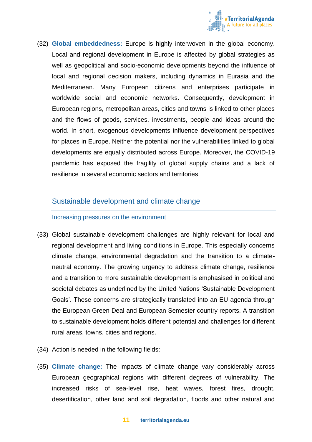

(32) **Global embeddedness:** Europe is highly interwoven in the global economy. Local and regional development in Europe is affected by global strategies as well as geopolitical and socio-economic developments beyond the influence of local and regional decision makers, including dynamics in Eurasia and the Mediterranean. Many European citizens and enterprises participate in worldwide social and economic networks. Consequently, development in European regions, metropolitan areas, cities and towns is linked to other places and the flows of goods, services, investments, people and ideas around the world. In short, exogenous developments influence development perspectives for places in Europe. Neither the potential nor the vulnerabilities linked to global developments are equally distributed across Europe. Moreover, the COVID-19 pandemic has exposed the fragility of global supply chains and a lack of resilience in several economic sectors and territories.

#### Sustainable development and climate change

#### Increasing pressures on the environment

- (33) Global sustainable development challenges are highly relevant for local and regional development and living conditions in Europe. This especially concerns climate change, environmental degradation and the transition to a climateneutral economy. The growing urgency to address climate change, resilience and a transition to more sustainable development is emphasised in political and societal debates as underlined by the United Nations 'Sustainable Development Goals'. These concerns are strategically translated into an EU agenda through the European Green Deal and European Semester country reports. A transition to sustainable development holds different potential and challenges for different rural areas, towns, cities and regions.
- (34) Action is needed in the following fields:
- (35) **Climate change:** The impacts of climate change vary considerably across European geographical regions with different degrees of vulnerability. The increased risks of sea-level rise, heat waves, forest fires, drought, desertification, other land and soil degradation, floods and other natural and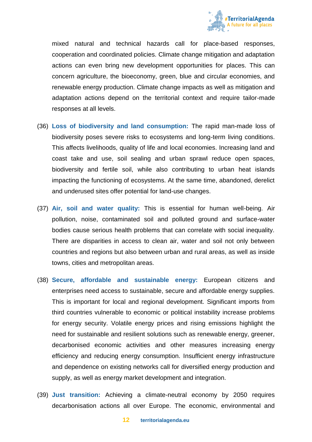

mixed natural and technical hazards call for place-based responses, cooperation and coordinated policies. Climate change mitigation and adaptation actions can even bring new development opportunities for places. This can concern agriculture, the bioeconomy, green, blue and circular economies, and renewable energy production. Climate change impacts as well as mitigation and adaptation actions depend on the territorial context and require tailor-made responses at all levels.

- (36) **Loss of biodiversity and land consumption:** The rapid man-made loss of biodiversity poses severe risks to ecosystems and long-term living conditions. This affects livelihoods, quality of life and local economies. Increasing land and coast take and use, soil sealing and urban sprawl reduce open spaces, biodiversity and fertile soil, while also contributing to urban heat islands impacting the functioning of ecosystems. At the same time, abandoned, derelict and underused sites offer potential for land-use changes.
- (37) **Air, soil and water quality:** This is essential for human well-being. Air pollution, noise, contaminated soil and polluted ground and surface-water bodies cause serious health problems that can correlate with social inequality. There are disparities in access to clean air, water and soil not only between countries and regions but also between urban and rural areas, as well as inside towns, cities and metropolitan areas.
- (38) **Secure, affordable and sustainable energy:** European citizens and enterprises need access to sustainable, secure and affordable energy supplies. This is important for local and regional development. Significant imports from third countries vulnerable to economic or political instability increase problems for energy security. Volatile energy prices and rising emissions highlight the need for sustainable and resilient solutions such as renewable energy, greener, decarbonised economic activities and other measures increasing energy efficiency and reducing energy consumption. Insufficient energy infrastructure and dependence on existing networks call for diversified energy production and supply, as well as energy market development and integration.
- (39) **Just transition:** Achieving a climate-neutral economy by 2050 requires decarbonisation actions all over Europe. The economic, environmental and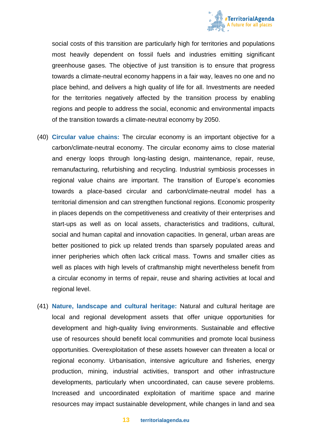

social costs of this transition are particularly high for territories and populations most heavily dependent on fossil fuels and industries emitting significant greenhouse gases. The objective of just transition is to ensure that progress towards a climate-neutral economy happens in a fair way, leaves no one and no place behind, and delivers a high quality of life for all. Investments are needed for the territories negatively affected by the transition process by enabling regions and people to address the social, economic and environmental impacts of the transition towards a climate-neutral economy by 2050.

- (40) **Circular value chains:** The circular economy is an important objective for a carbon/climate-neutral economy. The circular economy aims to close material and energy loops through long-lasting design, maintenance, repair, reuse, remanufacturing, refurbishing and recycling. Industrial symbiosis processes in regional value chains are important. The transition of Europe's economies towards a place-based circular and carbon/climate-neutral model has a territorial dimension and can strengthen functional regions. Economic prosperity in places depends on the competitiveness and creativity of their enterprises and start-ups as well as on local assets, characteristics and traditions, cultural, social and human capital and innovation capacities. In general, urban areas are better positioned to pick up related trends than sparsely populated areas and inner peripheries which often lack critical mass. Towns and smaller cities as well as places with high levels of craftmanship might nevertheless benefit from a circular economy in terms of repair, reuse and sharing activities at local and regional level.
- (41) **Nature, landscape and cultural heritage:** Natural and cultural heritage are local and regional development assets that offer unique opportunities for development and high-quality living environments. Sustainable and effective use of resources should benefit local communities and promote local business opportunities. Overexploitation of these assets however can threaten a local or regional economy. Urbanisation, intensive agriculture and fisheries, energy production, mining, industrial activities, transport and other infrastructure developments, particularly when uncoordinated, can cause severe problems. Increased and uncoordinated exploitation of maritime space and marine resources may impact sustainable development, while changes in land and sea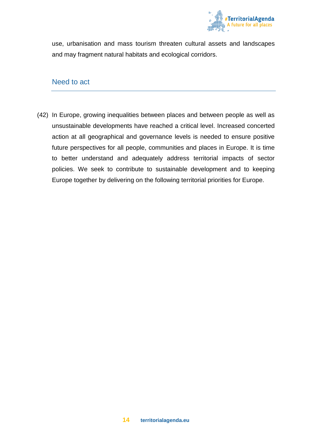

use, urbanisation and mass tourism threaten cultural assets and landscapes and may fragment natural habitats and ecological corridors.

#### Need to act

(42) In Europe, growing inequalities between places and between people as well as unsustainable developments have reached a critical level. Increased concerted action at all geographical and governance levels is needed to ensure positive future perspectives for all people, communities and places in Europe. It is time to better understand and adequately address territorial impacts of sector policies. We seek to contribute to sustainable development and to keeping Europe together by delivering on the following territorial priorities for Europe.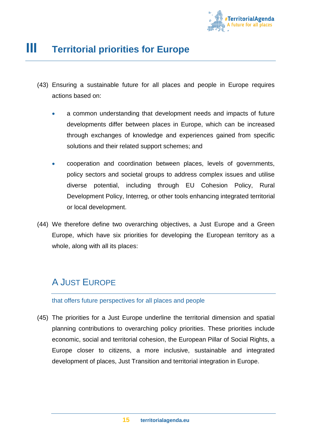

## **III Territorial priorities for Europe**

- (43) Ensuring a sustainable future for all places and people in Europe requires actions based on:
	- a common understanding that development needs and impacts of future developments differ between places in Europe, which can be increased through exchanges of knowledge and experiences gained from specific solutions and their related support schemes; and
	- cooperation and coordination between places, levels of governments, policy sectors and societal groups to address complex issues and utilise diverse potential, including through EU Cohesion Policy, Rural Development Policy, Interreg, or other tools enhancing integrated territorial or local development.
- (44) We therefore define two overarching objectives, a Just Europe and a Green Europe, which have six priorities for developing the European territory as a whole, along with all its places:

### A JUST EUROPE

#### that offers future perspectives for all places and people

(45) The priorities for a Just Europe underline the territorial dimension and spatial planning contributions to overarching policy priorities. These priorities include economic, social and territorial cohesion, the European Pillar of Social Rights, a Europe closer to citizens, a more inclusive, sustainable and integrated development of places, Just Transition and territorial integration in Europe.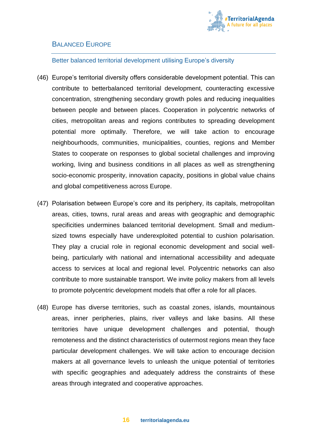

#### BALANCED EUROPE

#### Better balanced territorial development utilising Europe's diversity

- (46) Europe's territorial diversity offers considerable development potential. This can contribute to betterbalanced territorial development, counteracting excessive concentration, strengthening secondary growth poles and reducing inequalities between people and between places. Cooperation in polycentric networks of cities, metropolitan areas and regions contributes to spreading development potential more optimally. Therefore, we will take action to encourage neighbourhoods, communities, municipalities, counties, regions and Member States to cooperate on responses to global societal challenges and improving working, living and business conditions in all places as well as strengthening socio-economic prosperity, innovation capacity, positions in global value chains and global competitiveness across Europe.
- (47) Polarisation between Europe's core and its periphery, its capitals, metropolitan areas, cities, towns, rural areas and areas with geographic and demographic specificities undermines balanced territorial development. Small and mediumsized towns especially have underexploited potential to cushion polarisation. They play a crucial role in regional economic development and social wellbeing, particularly with national and international accessibility and adequate access to services at local and regional level. Polycentric networks can also contribute to more sustainable transport. We invite policy makers from all levels to promote polycentric development models that offer a role for all places.
- (48) Europe has diverse territories, such as coastal zones, islands, mountainous areas, inner peripheries, plains, river valleys and lake basins. All these territories have unique development challenges and potential, though remoteness and the distinct characteristics of outermost regions mean they face particular development challenges. We will take action to encourage decision makers at all governance levels to unleash the unique potential of territories with specific geographies and adequately address the constraints of these areas through integrated and cooperative approaches.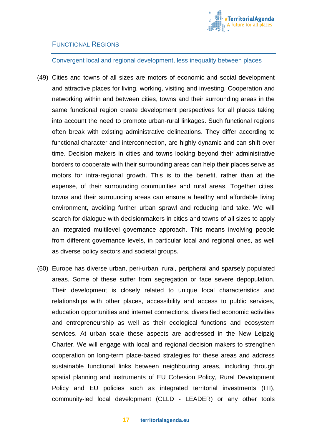

#### FUNCTIONAL REGIONS

Convergent local and regional development, less inequality between places

- (49) Cities and towns of all sizes are motors of economic and social development and attractive places for living, working, visiting and investing. Cooperation and networking within and between cities, towns and their surrounding areas in the same functional region create development perspectives for all places taking into account the need to promote urban-rural linkages. Such functional regions often break with existing administrative delineations. They differ according to functional character and interconnection, are highly dynamic and can shift over time. Decision makers in cities and towns looking beyond their administrative borders to cooperate with their surrounding areas can help their places serve as motors for intra-regional growth. This is to the benefit, rather than at the expense, of their surrounding communities and rural areas. Together cities, towns and their surrounding areas can ensure a healthy and affordable living environment, avoiding further urban sprawl and reducing land take. We will search for dialogue with decisionmakers in cities and towns of all sizes to apply an integrated multilevel governance approach. This means involving people from different governance levels, in particular local and regional ones, as well as diverse policy sectors and societal groups.
- (50) Europe has diverse urban, peri-urban, rural, peripheral and sparsely populated areas. Some of these suffer from segregation or face severe depopulation. Their development is closely related to unique local characteristics and relationships with other places, accessibility and access to public services, education opportunities and internet connections, diversified economic activities and entrepreneurship as well as their ecological functions and ecosystem services. At urban scale these aspects are addressed in the New Leipzig Charter. We will engage with local and regional decision makers to strengthen cooperation on long-term place-based strategies for these areas and address sustainable functional links between neighbouring areas, including through spatial planning and instruments of EU Cohesion Policy, Rural Development Policy and EU policies such as integrated territorial investments (ITI), community-led local development (CLLD - LEADER) or any other tools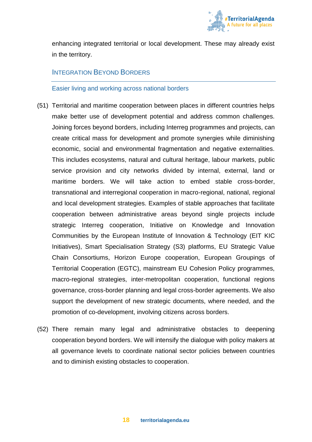

enhancing integrated territorial or local development. These may already exist in the territory.

#### INTEGRATION BEYOND BORDERS

Easier living and working across national borders

- (51) Territorial and maritime cooperation between places in different countries helps make better use of development potential and address common challenges. Joining forces beyond borders, including Interreg programmes and projects, can create critical mass for development and promote synergies while diminishing economic, social and environmental fragmentation and negative externalities. This includes ecosystems, natural and cultural heritage, labour markets, public service provision and city networks divided by internal, external, land or maritime borders. We will take action to embed stable cross-border, transnational and interregional cooperation in macro-regional, national, regional and local development strategies. Examples of stable approaches that facilitate cooperation between administrative areas beyond single projects include strategic Interreg cooperation, Initiative on Knowledge and Innovation Communities by the European Institute of Innovation & Technology (EIT KIC Initiatives), Smart Specialisation Strategy (S3) platforms, EU Strategic Value Chain Consortiums, Horizon Europe cooperation, European Groupings of Territorial Cooperation (EGTC), mainstream EU Cohesion Policy programmes, macro-regional strategies, inter-metropolitan cooperation, functional regions governance, cross-border planning and legal cross-border agreements. We also support the development of new strategic documents, where needed, and the promotion of co-development, involving citizens across borders.
- (52) There remain many legal and administrative obstacles to deepening cooperation beyond borders. We will intensify the dialogue with policy makers at all governance levels to coordinate national sector policies between countries and to diminish existing obstacles to cooperation.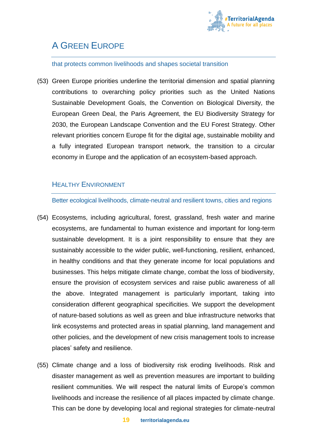

## A GREEN EUROPE

#### that protects common livelihoods and shapes societal transition

(53) Green Europe priorities underline the territorial dimension and spatial planning contributions to overarching policy priorities such as the United Nations Sustainable Development Goals, the Convention on Biological Diversity, the European Green Deal, the Paris Agreement, the EU Biodiversity Strategy for 2030, the European Landscape Convention and the EU Forest Strategy. Other relevant priorities concern Europe fit for the digital age, sustainable mobility and a fully integrated European transport network, the transition to a circular economy in Europe and the application of an ecosystem-based approach.

#### HEALTHY ENVIRONMENT

Better ecological livelihoods, climate-neutral and resilient towns, cities and regions

- (54) Ecosystems, including agricultural, forest, grassland, fresh water and marine ecosystems, are fundamental to human existence and important for long-term sustainable development. It is a joint responsibility to ensure that they are sustainably accessible to the wider public, well-functioning, resilient, enhanced, in healthy conditions and that they generate income for local populations and businesses. This helps mitigate climate change, combat the loss of biodiversity, ensure the provision of ecosystem services and raise public awareness of all the above. Integrated management is particularly important, taking into consideration different geographical specificities. We support the development of nature-based solutions as well as green and blue infrastructure networks that link ecosystems and protected areas in spatial planning, land management and other policies, and the development of new crisis management tools to increase places' safety and resilience.
- (55) Climate change and a loss of biodiversity risk eroding livelihoods. Risk and disaster management as well as prevention measures are important to building resilient communities. We will respect the natural limits of Europe's common livelihoods and increase the resilience of all places impacted by climate change. This can be done by developing local and regional strategies for climate-neutral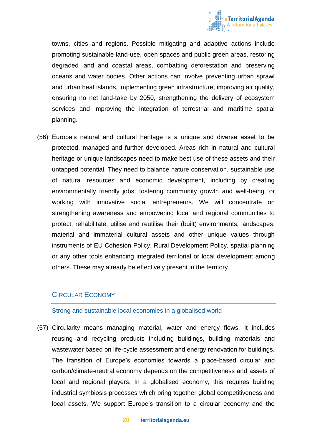

towns, cities and regions. Possible mitigating and adaptive actions include promoting sustainable land-use, open spaces and public green areas, restoring degraded land and coastal areas, combatting deforestation and preserving oceans and water bodies. Other actions can involve preventing urban sprawl and urban heat islands, implementing green infrastructure, improving air quality, ensuring no net land-take by 2050, strengthening the delivery of ecosystem services and improving the integration of terrestrial and maritime spatial planning.

(56) Europe's natural and cultural heritage is a unique and diverse asset to be protected, managed and further developed. Areas rich in natural and cultural heritage or unique landscapes need to make best use of these assets and their untapped potential. They need to balance nature conservation, sustainable use of natural resources and economic development, including by creating environmentally friendly jobs, fostering community growth and well-being, or working with innovative social entrepreneurs. We will concentrate on strengthening awareness and empowering local and regional communities to protect, rehabilitate, utilise and reutilise their (built) environments, landscapes, material and immaterial cultural assets and other unique values through instruments of EU Cohesion Policy, Rural Development Policy, spatial planning or any other tools enhancing integrated territorial or local development among others. These may already be effectively present in the territory.

#### CIRCULAR ECONOMY

#### Strong and sustainable local economies in a globalised world

(57) Circularity means managing material, water and energy flows. It includes reusing and recycling products including buildings, building materials and wastewater based on life-cycle assessment and energy renovation for buildings. The transition of Europe's economies towards a place-based circular and carbon/climate-neutral economy depends on the competitiveness and assets of local and regional players. In a globalised economy, this requires building industrial symbiosis processes which bring together global competitiveness and local assets. We support Europe's transition to a circular economy and the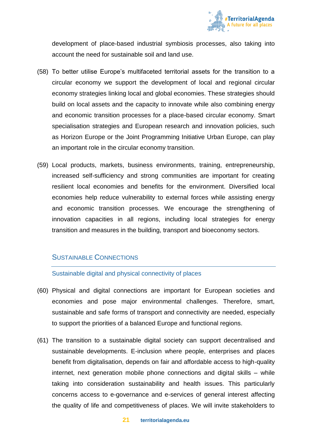

development of place-based industrial symbiosis processes, also taking into account the need for sustainable soil and land use.

- (58) To better utilise Europe's multifaceted territorial assets for the transition to a circular economy we support the development of local and regional circular economy strategies linking local and global economies. These strategies should build on local assets and the capacity to innovate while also combining energy and economic transition processes for a place-based circular economy. Smart specialisation strategies and European research and innovation policies, such as Horizon Europe or the Joint Programming Initiative Urban Europe, can play an important role in the circular economy transition.
- (59) Local products, markets, business environments, training, entrepreneurship, increased self-sufficiency and strong communities are important for creating resilient local economies and benefits for the environment. Diversified local economies help reduce vulnerability to external forces while assisting energy and economic transition processes. We encourage the strengthening of innovation capacities in all regions, including local strategies for energy transition and measures in the building, transport and bioeconomy sectors.

#### SUSTAINABLE CONNECTIONS

Sustainable digital and physical connectivity of places

- (60) Physical and digital connections are important for European societies and economies and pose major environmental challenges. Therefore, smart, sustainable and safe forms of transport and connectivity are needed, especially to support the priorities of a balanced Europe and functional regions.
- (61) The transition to a sustainable digital society can support decentralised and sustainable developments. E-inclusion where people, enterprises and places benefit from digitalisation, depends on fair and affordable access to high-quality internet, next generation mobile phone connections and digital skills – while taking into consideration sustainability and health issues. This particularly concerns access to e-governance and e-services of general interest affecting the quality of life and competitiveness of places. We will invite stakeholders to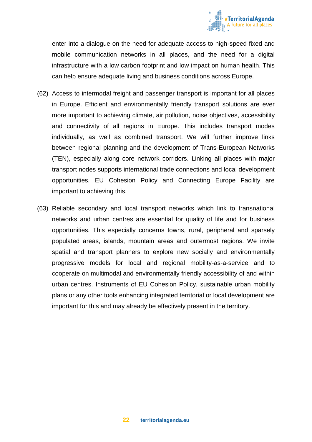

enter into a dialogue on the need for adequate access to high-speed fixed and mobile communication networks in all places, and the need for a digital infrastructure with a low carbon footprint and low impact on human health. This can help ensure adequate living and business conditions across Europe.

- (62) Access to intermodal freight and passenger transport is important for all places in Europe. Efficient and environmentally friendly transport solutions are ever more important to achieving climate, air pollution, noise objectives, accessibility and connectivity of all regions in Europe. This includes transport modes individually, as well as combined transport. We will further improve links between regional planning and the development of Trans-European Networks (TEN), especially along core network corridors. Linking all places with major transport nodes supports international trade connections and local development opportunities. EU Cohesion Policy and Connecting Europe Facility are important to achieving this.
- (63) Reliable secondary and local transport networks which link to transnational networks and urban centres are essential for quality of life and for business opportunities. This especially concerns towns, rural, peripheral and sparsely populated areas, islands, mountain areas and outermost regions. We invite spatial and transport planners to explore new socially and environmentally progressive models for local and regional mobility-as-a-service and to cooperate on multimodal and environmentally friendly accessibility of and within urban centres. Instruments of EU Cohesion Policy, sustainable urban mobility plans or any other tools enhancing integrated territorial or local development are important for this and may already be effectively present in the territory.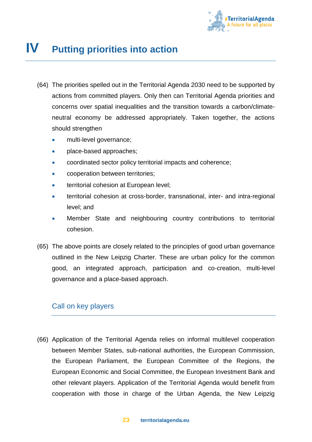

## **Putting priorities into action**

- (64) The priorities spelled out in the Territorial Agenda 2030 need to be supported by actions from committed players. Only then can Territorial Agenda priorities and concerns over spatial inequalities and the transition towards a carbon/climateneutral economy be addressed appropriately. Taken together, the actions should strengthen
	- multi-level governance;
	- place-based approaches;
	- coordinated sector policy territorial impacts and coherence;
	- cooperation between territories;
	- territorial cohesion at European level;
	- territorial cohesion at cross-border, transnational, inter- and intra-regional level; and
	- Member State and neighbouring country contributions to territorial cohesion.
- (65) The above points are closely related to the principles of good urban governance outlined in the New Leipzig Charter. These are urban policy for the common good, an integrated approach, participation and co-creation, multi-level governance and a place-based approach.

#### Call on key players

(66) Application of the Territorial Agenda relies on informal multilevel cooperation between Member States, sub-national authorities, the European Commission, the European Parliament, the European Committee of the Regions, the European Economic and Social Committee, the European Investment Bank and other relevant players. Application of the Territorial Agenda would benefit from cooperation with those in charge of the Urban Agenda, the New Leipzig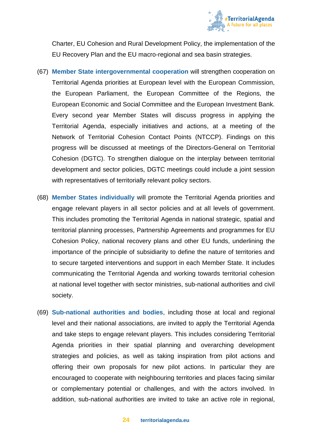

Charter, EU Cohesion and Rural Development Policy, the implementation of the EU Recovery Plan and the EU macro-regional and sea basin strategies.

- (67) **Member State intergovernmental cooperation** will strengthen cooperation on Territorial Agenda priorities at European level with the European Commission, the European Parliament, the European Committee of the Regions, the European Economic and Social Committee and the European Investment Bank. Every second year Member States will discuss progress in applying the Territorial Agenda, especially initiatives and actions, at a meeting of the Network of Territorial Cohesion Contact Points (NTCCP). Findings on this progress will be discussed at meetings of the Directors-General on Territorial Cohesion (DGTC). To strengthen dialogue on the interplay between territorial development and sector policies, DGTC meetings could include a joint session with representatives of territorially relevant policy sectors.
- (68) **Member States individually** will promote the Territorial Agenda priorities and engage relevant players in all sector policies and at all levels of government. This includes promoting the Territorial Agenda in national strategic, spatial and territorial planning processes, Partnership Agreements and programmes for EU Cohesion Policy, national recovery plans and other EU funds, underlining the importance of the principle of subsidiarity to define the nature of territories and to secure targeted interventions and support in each Member State. It includes communicating the Territorial Agenda and working towards territorial cohesion at national level together with sector ministries, sub-national authorities and civil society.
- (69) **Sub-national authorities and bodies**, including those at local and regional level and their national associations, are invited to apply the Territorial Agenda and take steps to engage relevant players. This includes considering Territorial Agenda priorities in their spatial planning and overarching development strategies and policies, as well as taking inspiration from pilot actions and offering their own proposals for new pilot actions. In particular they are encouraged to cooperate with neighbouring territories and places facing similar or complementary potential or challenges, and with the actors involved. In addition, sub-national authorities are invited to take an active role in regional,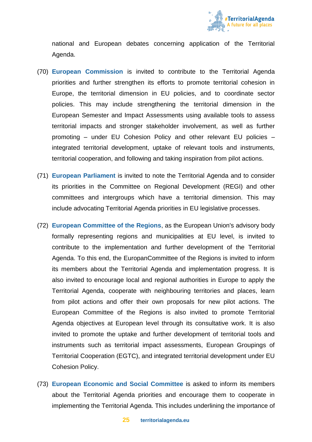

national and European debates concerning application of the Territorial Agenda.

- (70) **European Commission** is invited to contribute to the Territorial Agenda priorities and further strengthen its efforts to promote territorial cohesion in Europe, the territorial dimension in EU policies, and to coordinate sector policies. This may include strengthening the territorial dimension in the European Semester and Impact Assessments using available tools to assess territorial impacts and stronger stakeholder involvement, as well as further promoting – under EU Cohesion Policy and other relevant EU policies – integrated territorial development, uptake of relevant tools and instruments, territorial cooperation, and following and taking inspiration from pilot actions.
- (71) **European Parliament** is invited to note the Territorial Agenda and to consider its priorities in the Committee on Regional Development (REGI) and other committees and intergroups which have a territorial dimension. This may include advocating Territorial Agenda priorities in EU legislative processes.
- (72) **European Committee of the Regions**, as the European Union's advisory body formally representing regions and municipalities at EU level, is invited to contribute to the implementation and further development of the Territorial Agenda. To this end, the EuropanCommittee of the Regions is invited to inform its members about the Territorial Agenda and implementation progress. It is also invited to encourage local and regional authorities in Europe to apply the Territorial Agenda, cooperate with neighbouring territories and places, learn from pilot actions and offer their own proposals for new pilot actions. The European Committee of the Regions is also invited to promote Territorial Agenda objectives at European level through its consultative work. It is also invited to promote the uptake and further development of territorial tools and instruments such as territorial impact assessments, European Groupings of Territorial Cooperation (EGTC), and integrated territorial development under EU Cohesion Policy.
- (73) **European Economic and Social Committee** is asked to inform its members about the Territorial Agenda priorities and encourage them to cooperate in implementing the Territorial Agenda. This includes underlining the importance of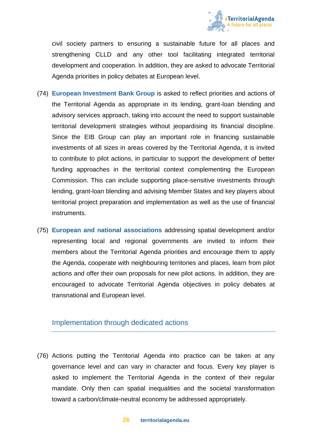

civil society partners to ensuring a sustainable future for all places and strengthening CLLD and any other tool facilitating integrated territorial development and cooperation. In addition, they are asked to advocate Territorial Agenda priorities in policy debates at European level.

- (74) **European Investment Bank Group** is asked to reflect priorities and actions of the Territorial Agenda as appropriate in its lending, grant-loan blending and advisory services approach, taking into account the need to support sustainable territorial development strategies without jeopardising its financial discipline. Since the EIB Group can play an important role in financing sustainable investments of all sizes in areas covered by the Territorial Agenda, it is invited to contribute to pilot actions, in particular to support the development of better funding approaches in the territorial context complementing the European Commission. This can include supporting place-sensitive investments through lending, grant-loan blending and advising Member States and key players about territorial project preparation and implementation as well as the use of financial instruments.
- (75) **European and national associations** addressing spatial development and/or representing local and regional governments are invited to inform their members about the Territorial Agenda priorities and encourage them to apply the Agenda, cooperate with neighbouring territories and places, learn from pilot actions and offer their own proposals for new pilot actions. In addition, they are encouraged to advocate Territorial Agenda objectives in policy debates at transnational and European level.

#### Implementation through dedicated actions

(76) Actions putting the Territorial Agenda into practice can be taken at any governance level and can vary in character and focus. Every key player is asked to implement the Territorial Agenda in the context of their regular mandate. Only then can spatial inequalities and the societal transformation toward a carbon/climate-neutral economy be addressed appropriately.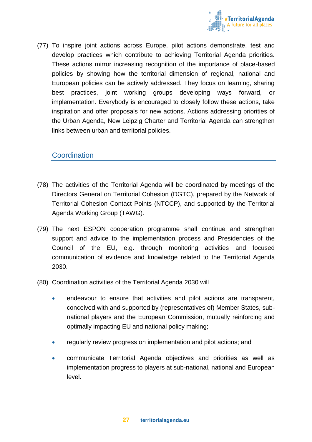

(77) To inspire joint actions across Europe, pilot actions demonstrate, test and develop practices which contribute to achieving Territorial Agenda priorities. These actions mirror increasing recognition of the importance of place-based policies by showing how the territorial dimension of regional, national and European policies can be actively addressed. They focus on learning, sharing best practices, joint working groups developing ways forward, or implementation. Everybody is encouraged to closely follow these actions, take inspiration and offer proposals for new actions. Actions addressing priorities of the Urban Agenda, New Leipzig Charter and Territorial Agenda can strengthen links between urban and territorial policies.

#### **Coordination**

- (78) The activities of the Territorial Agenda will be coordinated by meetings of the Directors General on Territorial Cohesion (DGTC), prepared by the Network of Territorial Cohesion Contact Points (NTCCP), and supported by the Territorial Agenda Working Group (TAWG).
- (79) The next ESPON cooperation programme shall continue and strengthen support and advice to the implementation process and Presidencies of the Council of the EU, e.g. through monitoring activities and focused communication of evidence and knowledge related to the Territorial Agenda 2030.
- (80) Coordination activities of the Territorial Agenda 2030 will
	- endeavour to ensure that activities and pilot actions are transparent, conceived with and supported by (representatives of) Member States, subnational players and the European Commission, mutually reinforcing and optimally impacting EU and national policy making;
	- regularly review progress on implementation and pilot actions; and
	- communicate Territorial Agenda objectives and priorities as well as implementation progress to players at sub-national, national and European level.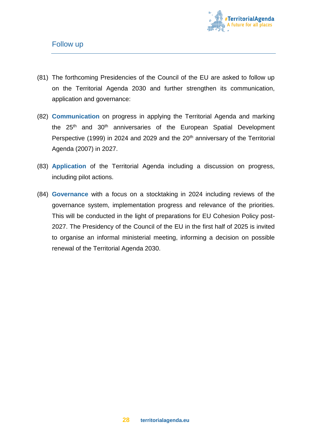

- (81) The forthcoming Presidencies of the Council of the EU are asked to follow up on the Territorial Agenda 2030 and further strengthen its communication, application and governance:
- (82) **Communication** on progress in applying the Territorial Agenda and marking the 25<sup>th</sup> and 30<sup>th</sup> anniversaries of the European Spatial Development Perspective (1999) in 2024 and 2029 and the  $20<sup>th</sup>$  anniversary of the Territorial Agenda (2007) in 2027.
- (83) **Application** of the Territorial Agenda including a discussion on progress, including pilot actions.
- (84) **Governance** with a focus on a stocktaking in 2024 including reviews of the governance system, implementation progress and relevance of the priorities. This will be conducted in the light of preparations for EU Cohesion Policy post-2027. The Presidency of the Council of the EU in the first half of 2025 is invited to organise an informal ministerial meeting, informing a decision on possible renewal of the Territorial Agenda 2030.